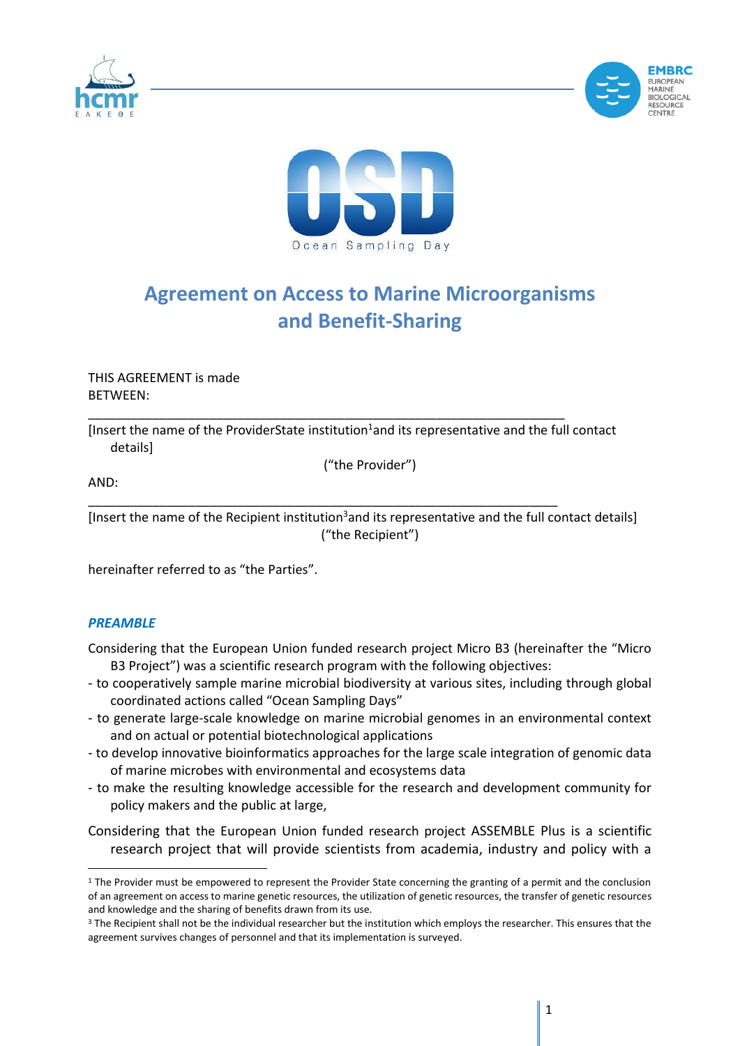





# **Agreement on Access to Marine Microorganisms and Benefit-Sharing**

THIS AGREEMENT is made BETWEEN:

[Insert the name of the ProviderState institution $1$  and its representative and the full contact details]

\_\_\_\_\_\_\_\_\_\_\_\_\_\_\_\_\_\_\_\_\_\_\_\_\_\_\_\_\_\_\_\_\_\_\_\_\_\_\_\_\_\_\_\_\_\_\_\_\_\_\_\_\_\_\_\_\_\_\_\_\_\_\_\_\_\_\_

("the Provider")

AND:

\_\_\_\_\_\_\_\_\_\_\_\_\_\_\_\_\_\_\_\_\_\_\_\_\_\_\_\_\_\_\_\_\_\_\_\_\_\_\_\_\_\_\_\_\_\_\_\_\_\_\_\_\_\_\_\_\_\_\_\_\_\_\_\_\_\_ [Insert the name of the Recipient institution<sup>3</sup> and its representative and the full contact details] ("the Recipient")

hereinafter referred to as "the Parties".

## *PREAMBLE*

- Considering that the European Union funded research project Micro B3 (hereinafter the "Micro B3 Project") was a scientific research program with the following objectives:
- to cooperatively sample marine microbial biodiversity at various sites, including through global coordinated actions called "Ocean Sampling Days"
- to generate large-scale knowledge on marine microbial genomes in an environmental context and on actual or potential biotechnological applications
- to develop innovative bioinformatics approaches for the large scale integration of genomic data of marine microbes with environmental and ecosystems data
- to make the resulting knowledge accessible for the research and development community for policy makers and the public at large,
- Considering that the European Union funded research project ASSEMBLE Plus is a scientific research project that will provide scientists from academia, industry and policy with a

 $1$  The Provider must be empowered to represent the Provider State concerning the granting of a permit and the conclusion of an agreement on access to marine genetic resources, the utilization of genetic resources, the transfer of genetic resources and knowledge and the sharing of benefits drawn from its use.

<sup>&</sup>lt;sup>3</sup> The Recipient shall not be the individual researcher but the institution which employs the researcher. This ensures that the agreement survives changes of personnel and that its implementation is surveyed.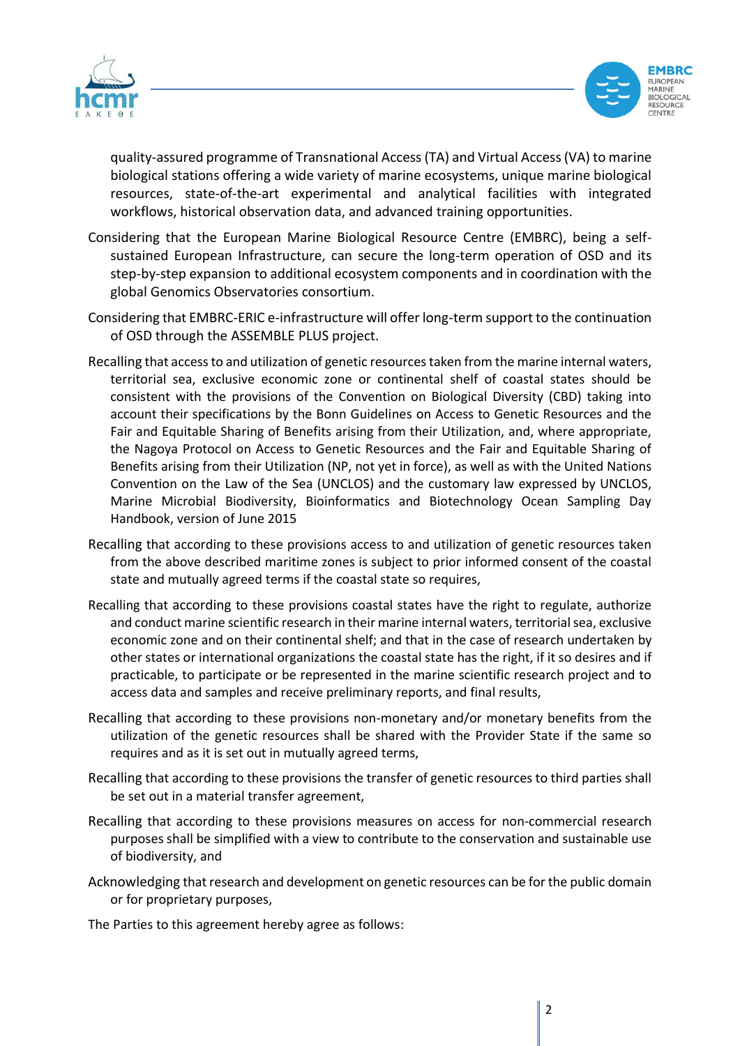



quality-assured programme of Transnational Access (TA) and Virtual Access (VA) to marine biological stations offering a wide variety of marine ecosystems, unique marine biological resources, state-of-the-art experimental and analytical facilities with integrated workflows, historical observation data, and advanced training opportunities.

- Considering that the European Marine Biological Resource Centre (EMBRC), being a selfsustained European Infrastructure, can secure the long-term operation of OSD and its step-by-step expansion to additional ecosystem components and in coordination with the global Genomics Observatories consortium.
- Considering that EMBRC-ERIC e-infrastructure will offer long-term support to the continuation of OSD through the ASSEMBLE PLUS project.
- Recalling that access to and utilization of genetic resources taken from the marine internal waters, territorial sea, exclusive economic zone or continental shelf of coastal states should be consistent with the provisions of the Convention on Biological Diversity (CBD) taking into account their specifications by the Bonn Guidelines on Access to Genetic Resources and the Fair and Equitable Sharing of Benefits arising from their Utilization, and, where appropriate, the Nagoya Protocol on Access to Genetic Resources and the Fair and Equitable Sharing of Benefits arising from their Utilization (NP, not yet in force), as well as with the United Nations Convention on the Law of the Sea (UNCLOS) and the customary law expressed by UNCLOS, Marine Microbial Biodiversity, Bioinformatics and Biotechnology Ocean Sampling Day Handbook, version of June 2015
- Recalling that according to these provisions access to and utilization of genetic resources taken from the above described maritime zones is subject to prior informed consent of the coastal state and mutually agreed terms if the coastal state so requires,
- Recalling that according to these provisions coastal states have the right to regulate, authorize and conduct marine scientific research in their marine internal waters, territorial sea, exclusive economic zone and on their continental shelf; and that in the case of research undertaken by other states or international organizations the coastal state has the right, if it so desires and if practicable, to participate or be represented in the marine scientific research project and to access data and samples and receive preliminary reports, and final results,
- Recalling that according to these provisions non-monetary and/or monetary benefits from the utilization of the genetic resources shall be shared with the Provider State if the same so requires and as it is set out in mutually agreed terms,
- Recalling that according to these provisions the transfer of genetic resources to third parties shall be set out in a material transfer agreement,
- Recalling that according to these provisions measures on access for non-commercial research purposes shall be simplified with a view to contribute to the conservation and sustainable use of biodiversity, and
- Acknowledging that research and development on genetic resources can be for the public domain or for proprietary purposes,

The Parties to this agreement hereby agree as follows: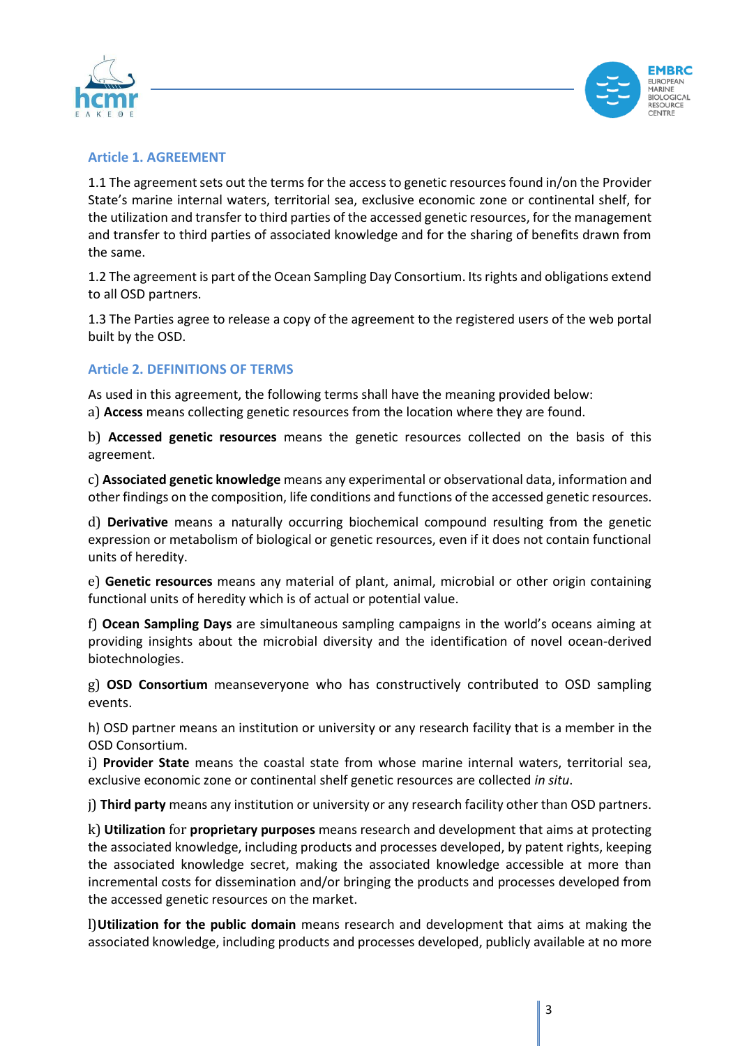



## **Article 1. AGREEMENT**

1.1 The agreement sets out the terms for the access to genetic resources found in/on the Provider State's marine internal waters, territorial sea, exclusive economic zone or continental shelf, for the utilization and transfer to third parties of the accessed genetic resources, for the management and transfer to third parties of associated knowledge and for the sharing of benefits drawn from the same.

1.2 The agreement is part of the Ocean Sampling Day Consortium. Its rights and obligations extend to all OSD partners.

1.3 The Parties agree to release a copy of the agreement to the registered users of the web portal built by the OSD.

# **Article 2. DEFINITIONS OF TERMS**

As used in this agreement, the following terms shall have the meaning provided below: a) **Access** means collecting genetic resources from the location where they are found.

b) **Accessed genetic resources** means the genetic resources collected on the basis of this agreement.

c) **Associated genetic knowledge** means any experimental or observational data, information and other findings on the composition, life conditions and functions of the accessed genetic resources.

d) **Derivative** means a naturally occurring biochemical compound resulting from the genetic expression or metabolism of biological or genetic resources, even if it does not contain functional units of heredity.

e) **Genetic resources** means any material of plant, animal, microbial or other origin containing functional units of heredity which is of actual or potential value.

f) **Ocean Sampling Days** are simultaneous sampling campaigns in the world's oceans aiming at providing insights about the microbial diversity and the identification of novel ocean-derived biotechnologies.

g) **OSD Consortium** meanseveryone who has constructively contributed to OSD sampling events.

h) OSD partner means an institution or university or any research facility that is a member in the OSD Consortium.

i) **Provider State** means the coastal state from whose marine internal waters, territorial sea, exclusive economic zone or continental shelf genetic resources are collected *in situ*.

j) **Third party** means any institution or university or any research facility other than OSD partners.

k) **Utilization** for **proprietary purposes** means research and development that aims at protecting the associated knowledge, including products and processes developed, by patent rights, keeping the associated knowledge secret, making the associated knowledge accessible at more than incremental costs for dissemination and/or bringing the products and processes developed from the accessed genetic resources on the market.

l)**Utilization for the public domain** means research and development that aims at making the associated knowledge, including products and processes developed, publicly available at no more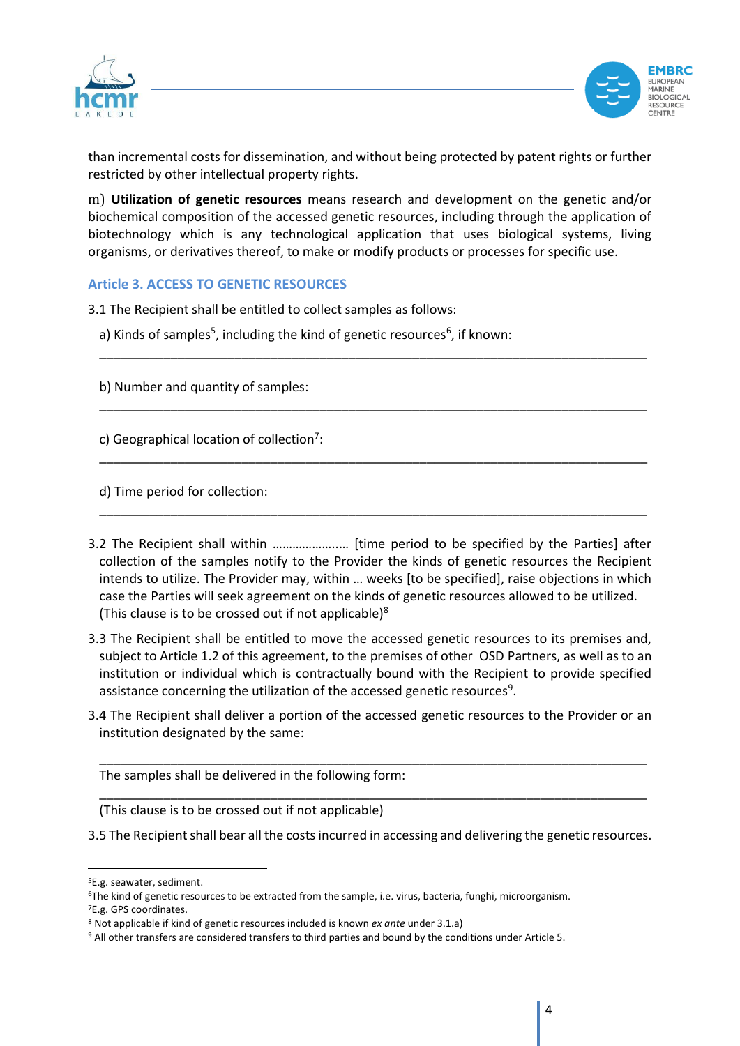



than incremental costs for dissemination, and without being protected by patent rights or further restricted by other intellectual property rights.

m) **Utilization of genetic resources** means research and development on the genetic and/or biochemical composition of the accessed genetic resources, including through the application of biotechnology which is any technological application that uses biological systems, living organisms, or derivatives thereof, to make or modify products or processes for specific use.

\_\_\_\_\_\_\_\_\_\_\_\_\_\_\_\_\_\_\_\_\_\_\_\_\_\_\_\_\_\_\_\_\_\_\_\_\_\_\_\_\_\_\_\_\_\_\_\_\_\_\_\_\_\_\_\_\_\_\_\_\_\_\_\_\_\_\_\_\_\_\_\_\_\_\_\_\_

\_\_\_\_\_\_\_\_\_\_\_\_\_\_\_\_\_\_\_\_\_\_\_\_\_\_\_\_\_\_\_\_\_\_\_\_\_\_\_\_\_\_\_\_\_\_\_\_\_\_\_\_\_\_\_\_\_\_\_\_\_\_\_\_\_\_\_\_\_\_\_\_\_\_\_\_\_

\_\_\_\_\_\_\_\_\_\_\_\_\_\_\_\_\_\_\_\_\_\_\_\_\_\_\_\_\_\_\_\_\_\_\_\_\_\_\_\_\_\_\_\_\_\_\_\_\_\_\_\_\_\_\_\_\_\_\_\_\_\_\_\_\_\_\_\_\_\_\_\_\_\_\_\_\_

\_\_\_\_\_\_\_\_\_\_\_\_\_\_\_\_\_\_\_\_\_\_\_\_\_\_\_\_\_\_\_\_\_\_\_\_\_\_\_\_\_\_\_\_\_\_\_\_\_\_\_\_\_\_\_\_\_\_\_\_\_\_\_\_\_\_\_\_\_\_\_\_\_\_\_\_\_

## **Article 3. ACCESS TO GENETIC RESOURCES**

- 3.1 The Recipient shall be entitled to collect samples as follows:
	- a) Kinds of samples<sup>5</sup>, including the kind of genetic resources<sup>6</sup>, if known:
	- b) Number and quantity of samples:

c) Geographical location of collection<sup>7</sup>:

d) Time period for collection:

- 3.2 The Recipient shall within ………………..… [time period to be specified by the Parties] after collection of the samples notify to the Provider the kinds of genetic resources the Recipient intends to utilize. The Provider may, within … weeks [to be specified], raise objections in which case the Parties will seek agreement on the kinds of genetic resources allowed to be utilized. (This clause is to be crossed out if not applicable)<sup>8</sup>
- 3.3 The Recipient shall be entitled to move the accessed genetic resources to its premises and, subject to Article 1.2 of this agreement, to the premises of other OSD Partners, as well as to an institution or individual which is contractually bound with the Recipient to provide specified assistance concerning the utilization of the accessed genetic resources<sup>9</sup>.
- 3.4 The Recipient shall deliver a portion of the accessed genetic resources to the Provider or an institution designated by the same:

\_\_\_\_\_\_\_\_\_\_\_\_\_\_\_\_\_\_\_\_\_\_\_\_\_\_\_\_\_\_\_\_\_\_\_\_\_\_\_\_\_\_\_\_\_\_\_\_\_\_\_\_\_\_\_\_\_\_\_\_\_\_\_\_\_\_\_\_\_\_\_\_\_\_\_\_\_

\_\_\_\_\_\_\_\_\_\_\_\_\_\_\_\_\_\_\_\_\_\_\_\_\_\_\_\_\_\_\_\_\_\_\_\_\_\_\_\_\_\_\_\_\_\_\_\_\_\_\_\_\_\_\_\_\_\_\_\_\_\_\_\_\_\_\_\_\_\_\_\_\_\_\_\_\_

The samples shall be delivered in the following form:

(This clause is to be crossed out if not applicable)

<sup>3.5</sup> The Recipient shall bear all the costs incurred in accessing and delivering the genetic resources.

<sup>5</sup>E.g. seawater, sediment.

<sup>6</sup>The kind of genetic resources to be extracted from the sample, i.e. virus, bacteria, funghi, microorganism. <sup>7</sup>E.g. GPS coordinates.

<sup>8</sup> Not applicable if kind of genetic resources included is known *ex ante* under 3.1.a)

<sup>9</sup> All other transfers are considered transfers to third parties and bound by the conditions under Article 5.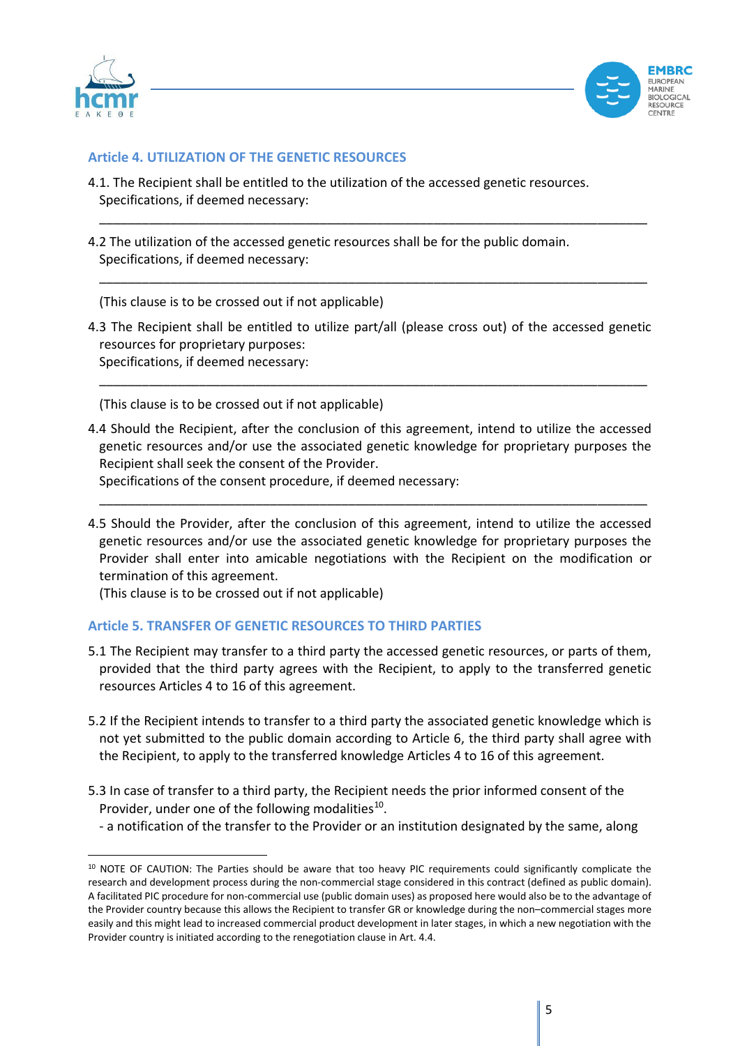



## **Article 4. UTILIZATION OF THE GENETIC RESOURCES**

- 4.1. The Recipient shall be entitled to the utilization of the accessed genetic resources. Specifications, if deemed necessary:
- 4.2 The utilization of the accessed genetic resources shall be for the public domain. Specifications, if deemed necessary:

(This clause is to be crossed out if not applicable)

4.3 The Recipient shall be entitled to utilize part/all (please cross out) of the accessed genetic resources for proprietary purposes: Specifications, if deemed necessary:

\_\_\_\_\_\_\_\_\_\_\_\_\_\_\_\_\_\_\_\_\_\_\_\_\_\_\_\_\_\_\_\_\_\_\_\_\_\_\_\_\_\_\_\_\_\_\_\_\_\_\_\_\_\_\_\_\_\_\_\_\_\_\_\_\_\_\_\_\_\_\_\_\_\_\_\_\_

\_\_\_\_\_\_\_\_\_\_\_\_\_\_\_\_\_\_\_\_\_\_\_\_\_\_\_\_\_\_\_\_\_\_\_\_\_\_\_\_\_\_\_\_\_\_\_\_\_\_\_\_\_\_\_\_\_\_\_\_\_\_\_\_\_\_\_\_\_\_\_\_\_\_\_\_\_

\_\_\_\_\_\_\_\_\_\_\_\_\_\_\_\_\_\_\_\_\_\_\_\_\_\_\_\_\_\_\_\_\_\_\_\_\_\_\_\_\_\_\_\_\_\_\_\_\_\_\_\_\_\_\_\_\_\_\_\_\_\_\_\_\_\_\_\_\_\_\_\_\_\_\_\_\_

(This clause is to be crossed out if not applicable)

4.4 Should the Recipient, after the conclusion of this agreement, intend to utilize the accessed genetic resources and/or use the associated genetic knowledge for proprietary purposes the Recipient shall seek the consent of the Provider.

Specifications of the consent procedure, if deemed necessary:

4.5 Should the Provider, after the conclusion of this agreement, intend to utilize the accessed genetic resources and/or use the associated genetic knowledge for proprietary purposes the Provider shall enter into amicable negotiations with the Recipient on the modification or termination of this agreement.

\_\_\_\_\_\_\_\_\_\_\_\_\_\_\_\_\_\_\_\_\_\_\_\_\_\_\_\_\_\_\_\_\_\_\_\_\_\_\_\_\_\_\_\_\_\_\_\_\_\_\_\_\_\_\_\_\_\_\_\_\_\_\_\_\_\_\_\_\_\_\_\_\_\_\_\_\_

(This clause is to be crossed out if not applicable)

## **Article 5. TRANSFER OF GENETIC RESOURCES TO THIRD PARTIES**

- 5.1 The Recipient may transfer to a third party the accessed genetic resources, or parts of them, provided that the third party agrees with the Recipient, to apply to the transferred genetic resources Articles 4 to 16 of this agreement.
- 5.2 If the Recipient intends to transfer to a third party the associated genetic knowledge which is not yet submitted to the public domain according to Article 6, the third party shall agree with the Recipient, to apply to the transferred knowledge Articles 4 to 16 of this agreement.
- 5.3 In case of transfer to a third party, the Recipient needs the prior informed consent of the Provider, under one of the following modalities<sup>10</sup>.
	- a notification of the transfer to the Provider or an institution designated by the same, along

<sup>10</sup> NOTE OF CAUTION: The Parties should be aware that too heavy PIC requirements could significantly complicate the research and development process during the non-commercial stage considered in this contract (defined as public domain). A facilitated PIC procedure for non-commercial use (public domain uses) as proposed here would also be to the advantage of the Provider country because this allows the Recipient to transfer GR or knowledge during the non–commercial stages more easily and this might lead to increased commercial product development in later stages, in which a new negotiation with the Provider country is initiated according to the renegotiation clause in Art. 4.4.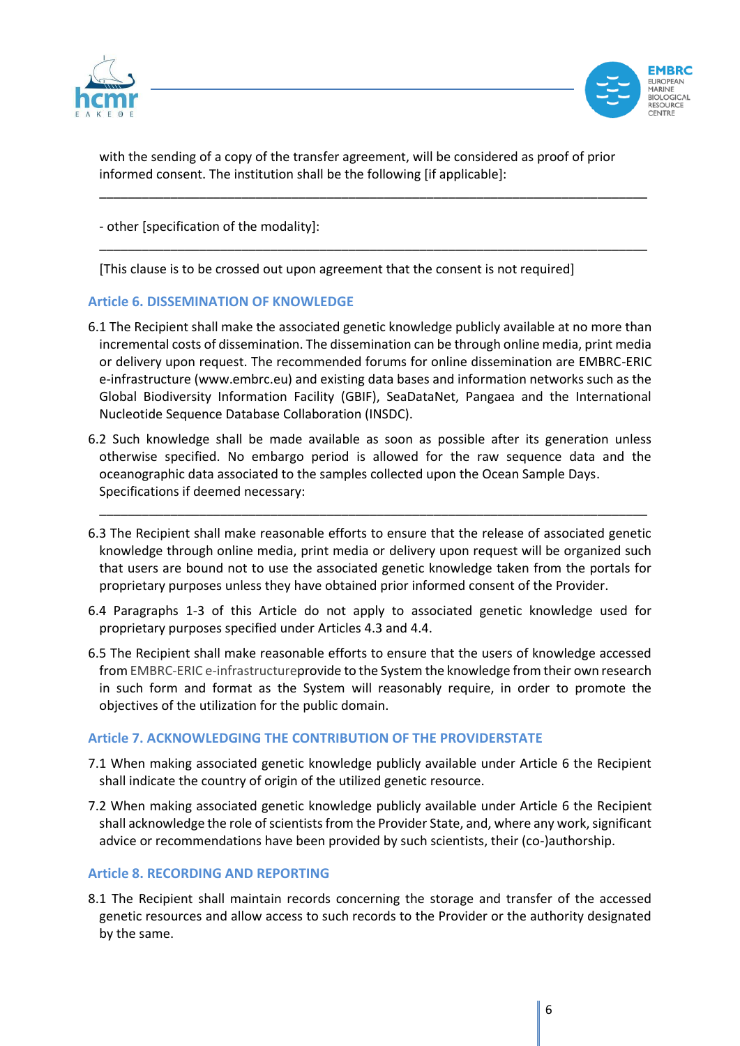



with the sending of a copy of the transfer agreement, will be considered as proof of prior informed consent. The institution shall be the following [if applicable]:

\_\_\_\_\_\_\_\_\_\_\_\_\_\_\_\_\_\_\_\_\_\_\_\_\_\_\_\_\_\_\_\_\_\_\_\_\_\_\_\_\_\_\_\_\_\_\_\_\_\_\_\_\_\_\_\_\_\_\_\_\_\_\_\_\_\_\_\_\_\_\_\_\_\_\_\_\_

\_\_\_\_\_\_\_\_\_\_\_\_\_\_\_\_\_\_\_\_\_\_\_\_\_\_\_\_\_\_\_\_\_\_\_\_\_\_\_\_\_\_\_\_\_\_\_\_\_\_\_\_\_\_\_\_\_\_\_\_\_\_\_\_\_\_\_\_\_\_\_\_\_\_\_\_\_

- other [specification of the modality]:

[This clause is to be crossed out upon agreement that the consent is not required]

## **Article 6. DISSEMINATION OF KNOWLEDGE**

- 6.1 The Recipient shall make the associated genetic knowledge publicly available at no more than incremental costs of dissemination. The dissemination can be through online media, print media or delivery upon request. The recommended forums for online dissemination are EMBRC-ERIC e-infrastructure (www.embrc.eu) and existing data bases and information networks such as the Global Biodiversity Information Facility (GBIF), SeaDataNet, Pangaea and the International Nucleotide Sequence Database Collaboration (INSDC).
- 6.2 Such knowledge shall be made available as soon as possible after its generation unless otherwise specified. No embargo period is allowed for the raw sequence data and the oceanographic data associated to the samples collected upon the Ocean Sample Days. Specifications if deemed necessary:

\_\_\_\_\_\_\_\_\_\_\_\_\_\_\_\_\_\_\_\_\_\_\_\_\_\_\_\_\_\_\_\_\_\_\_\_\_\_\_\_\_\_\_\_\_\_\_\_\_\_\_\_\_\_\_\_\_\_\_\_\_\_\_\_\_\_\_\_\_\_\_\_\_\_\_\_\_

- 6.3 The Recipient shall make reasonable efforts to ensure that the release of associated genetic knowledge through online media, print media or delivery upon request will be organized such that users are bound not to use the associated genetic knowledge taken from the portals for proprietary purposes unless they have obtained prior informed consent of the Provider.
- 6.4 Paragraphs 1-3 of this Article do not apply to associated genetic knowledge used for proprietary purposes specified under Articles 4.3 and 4.4.
- 6.5 The Recipient shall make reasonable efforts to ensure that the users of knowledge accessed from EMBRC-ERIC e-infrastructureprovide to the System the knowledge from their own research in such form and format as the System will reasonably require, in order to promote the objectives of the utilization for the public domain.

## **Article 7. ACKNOWLEDGING THE CONTRIBUTION OF THE PROVIDERSTATE**

- 7.1 When making associated genetic knowledge publicly available under Article 6 the Recipient shall indicate the country of origin of the utilized genetic resource.
- 7.2 When making associated genetic knowledge publicly available under Article 6 the Recipient shall acknowledge the role of scientists from the Provider State, and, where any work, significant advice or recommendations have been provided by such scientists, their (co-)authorship.

#### **Article 8. RECORDING AND REPORTING**

8.1 The Recipient shall maintain records concerning the storage and transfer of the accessed genetic resources and allow access to such records to the Provider or the authority designated by the same.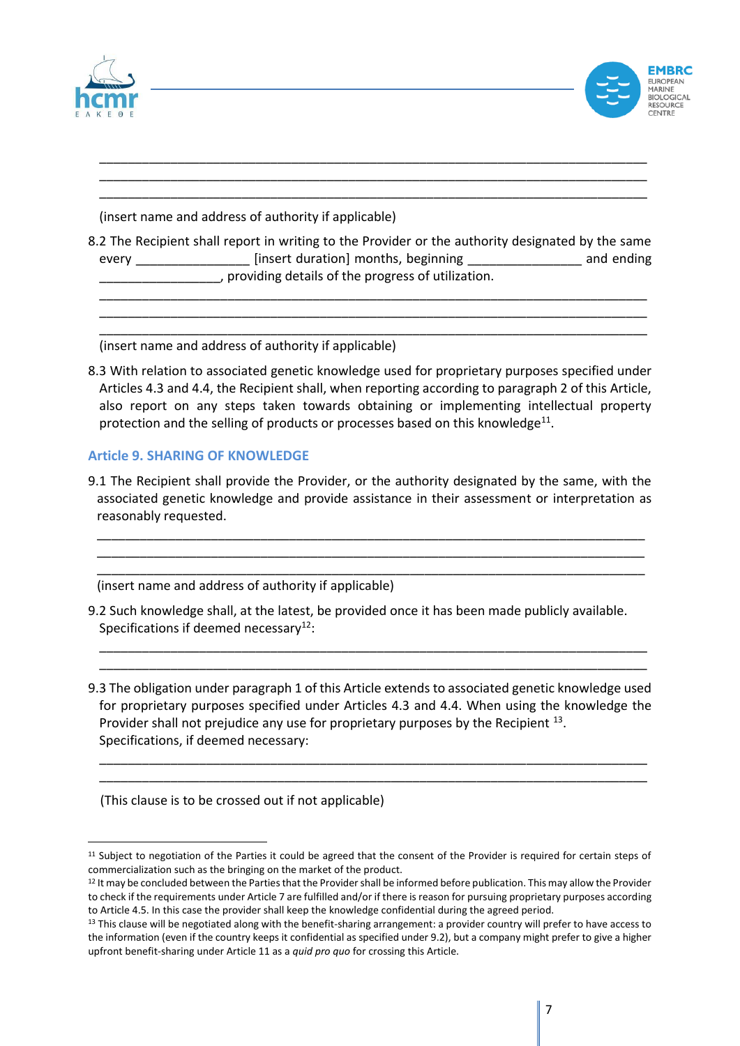



(insert name and address of authority if applicable)

8.2 The Recipient shall report in writing to the Provider or the authority designated by the same every **Exercise 2** [insert duration] months, beginning **Exercise 2** and ending \_\_\_\_\_\_\_\_\_\_\_\_\_\_\_\_\_, providing details of the progress of utilization.

\_\_\_\_\_\_\_\_\_\_\_\_\_\_\_\_\_\_\_\_\_\_\_\_\_\_\_\_\_\_\_\_\_\_\_\_\_\_\_\_\_\_\_\_\_\_\_\_\_\_\_\_\_\_\_\_\_\_\_\_\_\_\_\_\_\_\_\_\_\_\_\_\_\_\_\_\_ \_\_\_\_\_\_\_\_\_\_\_\_\_\_\_\_\_\_\_\_\_\_\_\_\_\_\_\_\_\_\_\_\_\_\_\_\_\_\_\_\_\_\_\_\_\_\_\_\_\_\_\_\_\_\_\_\_\_\_\_\_\_\_\_\_\_\_\_\_\_\_\_\_\_\_\_\_ \_\_\_\_\_\_\_\_\_\_\_\_\_\_\_\_\_\_\_\_\_\_\_\_\_\_\_\_\_\_\_\_\_\_\_\_\_\_\_\_\_\_\_\_\_\_\_\_\_\_\_\_\_\_\_\_\_\_\_\_\_\_\_\_\_\_\_\_\_\_\_\_\_\_\_\_\_

\_\_\_\_\_\_\_\_\_\_\_\_\_\_\_\_\_\_\_\_\_\_\_\_\_\_\_\_\_\_\_\_\_\_\_\_\_\_\_\_\_\_\_\_\_\_\_\_\_\_\_\_\_\_\_\_\_\_\_\_\_\_\_\_\_\_\_\_\_\_\_\_\_\_\_\_\_ \_\_\_\_\_\_\_\_\_\_\_\_\_\_\_\_\_\_\_\_\_\_\_\_\_\_\_\_\_\_\_\_\_\_\_\_\_\_\_\_\_\_\_\_\_\_\_\_\_\_\_\_\_\_\_\_\_\_\_\_\_\_\_\_\_\_\_\_\_\_\_\_\_\_\_\_\_ \_\_\_\_\_\_\_\_\_\_\_\_\_\_\_\_\_\_\_\_\_\_\_\_\_\_\_\_\_\_\_\_\_\_\_\_\_\_\_\_\_\_\_\_\_\_\_\_\_\_\_\_\_\_\_\_\_\_\_\_\_\_\_\_\_\_\_\_\_\_\_\_\_\_\_\_\_

(insert name and address of authority if applicable)

8.3 With relation to associated genetic knowledge used for proprietary purposes specified under Articles 4.3 and 4.4, the Recipient shall, when reporting according to paragraph 2 of this Article, also report on any steps taken towards obtaining or implementing intellectual property protection and the selling of products or processes based on this knowledge<sup>11</sup>.

#### **Article 9. SHARING OF KNOWLEDGE**

9.1 The Recipient shall provide the Provider, or the authority designated by the same, with the associated genetic knowledge and provide assistance in their assessment or interpretation as reasonably requested.

\_\_\_\_\_\_\_\_\_\_\_\_\_\_\_\_\_\_\_\_\_\_\_\_\_\_\_\_\_\_\_\_\_\_\_\_\_\_\_\_\_\_\_\_\_\_\_\_\_\_\_\_\_\_\_\_\_\_\_\_\_\_\_\_\_\_\_\_\_\_\_\_\_\_\_\_\_ \_\_\_\_\_\_\_\_\_\_\_\_\_\_\_\_\_\_\_\_\_\_\_\_\_\_\_\_\_\_\_\_\_\_\_\_\_\_\_\_\_\_\_\_\_\_\_\_\_\_\_\_\_\_\_\_\_\_\_\_\_\_\_\_\_\_\_\_\_\_\_\_\_\_\_\_\_ \_\_\_\_\_\_\_\_\_\_\_\_\_\_\_\_\_\_\_\_\_\_\_\_\_\_\_\_\_\_\_\_\_\_\_\_\_\_\_\_\_\_\_\_\_\_\_\_\_\_\_\_\_\_\_\_\_\_\_\_\_\_\_\_\_\_\_\_\_\_\_\_\_\_\_\_\_

(insert name and address of authority if applicable)

- 9.2 Such knowledge shall, at the latest, be provided once it has been made publicly available. Specifications if deemed necessary $12$ :
- 9.3 The obligation under paragraph 1 of this Article extends to associated genetic knowledge used for proprietary purposes specified under Articles 4.3 and 4.4. When using the knowledge the Provider shall not prejudice any use for proprietary purposes by the Recipient  $^{13}$ . Specifications, if deemed necessary:

\_\_\_\_\_\_\_\_\_\_\_\_\_\_\_\_\_\_\_\_\_\_\_\_\_\_\_\_\_\_\_\_\_\_\_\_\_\_\_\_\_\_\_\_\_\_\_\_\_\_\_\_\_\_\_\_\_\_\_\_\_\_\_\_\_\_\_\_\_\_\_\_\_\_\_\_\_ \_\_\_\_\_\_\_\_\_\_\_\_\_\_\_\_\_\_\_\_\_\_\_\_\_\_\_\_\_\_\_\_\_\_\_\_\_\_\_\_\_\_\_\_\_\_\_\_\_\_\_\_\_\_\_\_\_\_\_\_\_\_\_\_\_\_\_\_\_\_\_\_\_\_\_\_\_

\_\_\_\_\_\_\_\_\_\_\_\_\_\_\_\_\_\_\_\_\_\_\_\_\_\_\_\_\_\_\_\_\_\_\_\_\_\_\_\_\_\_\_\_\_\_\_\_\_\_\_\_\_\_\_\_\_\_\_\_\_\_\_\_\_\_\_\_\_\_\_\_\_\_\_\_\_ \_\_\_\_\_\_\_\_\_\_\_\_\_\_\_\_\_\_\_\_\_\_\_\_\_\_\_\_\_\_\_\_\_\_\_\_\_\_\_\_\_\_\_\_\_\_\_\_\_\_\_\_\_\_\_\_\_\_\_\_\_\_\_\_\_\_\_\_\_\_\_\_\_\_\_\_\_

(This clause is to be crossed out if not applicable)

<sup>11</sup> Subject to negotiation of the Parties it could be agreed that the consent of the Provider is required for certain steps of commercialization such as the bringing on the market of the product.

 $12$  It may be concluded between the Parties that the Provider shall be informed before publication. This may allow the Provider to check if the requirements under Article 7 are fulfilled and/or if there is reason for pursuing proprietary purposes according to Article 4.5. In this case the provider shall keep the knowledge confidential during the agreed period.

<sup>&</sup>lt;sup>13</sup> This clause will be negotiated along with the benefit-sharing arrangement: a provider country will prefer to have access to the information (even if the country keeps it confidential as specified under 9.2), but a company might prefer to give a higher upfront benefit-sharing under Article 11 as a *quid pro quo* for crossing this Article.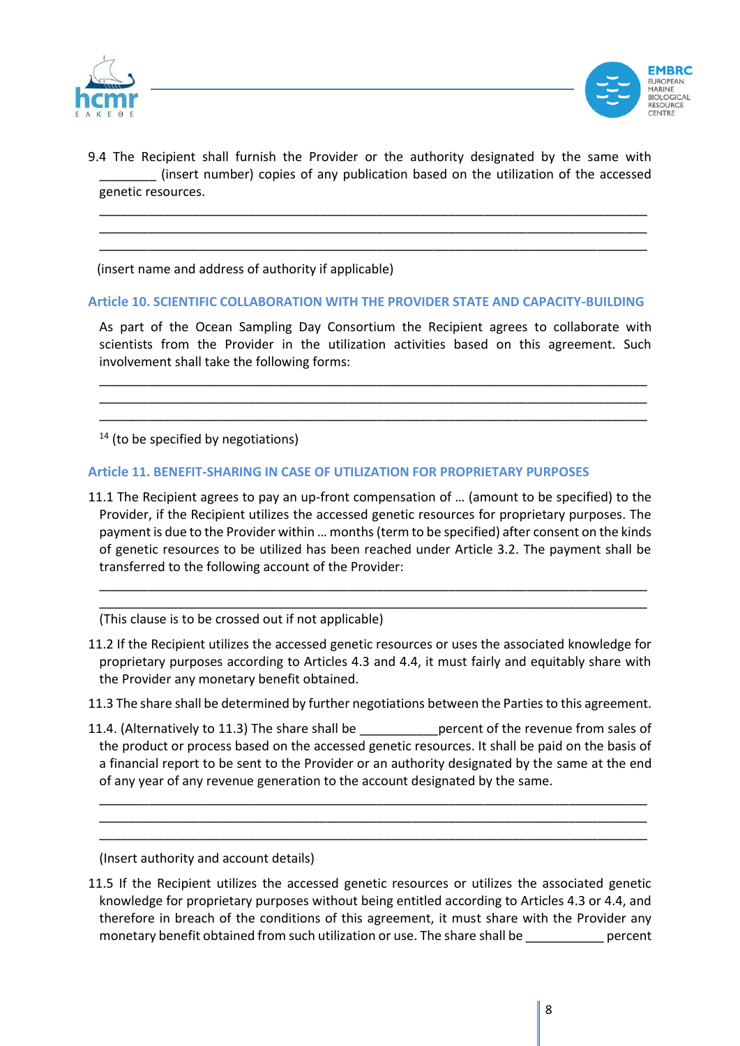



9.4 The Recipient shall furnish the Provider or the authority designated by the same with \_\_\_\_\_\_\_\_ (insert number) copies of any publication based on the utilization of the accessed genetic resources.

\_\_\_\_\_\_\_\_\_\_\_\_\_\_\_\_\_\_\_\_\_\_\_\_\_\_\_\_\_\_\_\_\_\_\_\_\_\_\_\_\_\_\_\_\_\_\_\_\_\_\_\_\_\_\_\_\_\_\_\_\_\_\_\_\_\_\_\_\_\_\_\_\_\_\_\_\_ \_\_\_\_\_\_\_\_\_\_\_\_\_\_\_\_\_\_\_\_\_\_\_\_\_\_\_\_\_\_\_\_\_\_\_\_\_\_\_\_\_\_\_\_\_\_\_\_\_\_\_\_\_\_\_\_\_\_\_\_\_\_\_\_\_\_\_\_\_\_\_\_\_\_\_\_\_ \_\_\_\_\_\_\_\_\_\_\_\_\_\_\_\_\_\_\_\_\_\_\_\_\_\_\_\_\_\_\_\_\_\_\_\_\_\_\_\_\_\_\_\_\_\_\_\_\_\_\_\_\_\_\_\_\_\_\_\_\_\_\_\_\_\_\_\_\_\_\_\_\_\_\_\_\_

(insert name and address of authority if applicable)

#### **Article 10. SCIENTIFIC COLLABORATION WITH THE PROVIDER STATE AND CAPACITY-BUILDING**

As part of the Ocean Sampling Day Consortium the Recipient agrees to collaborate with scientists from the Provider in the utilization activities based on this agreement. Such involvement shall take the following forms:

\_\_\_\_\_\_\_\_\_\_\_\_\_\_\_\_\_\_\_\_\_\_\_\_\_\_\_\_\_\_\_\_\_\_\_\_\_\_\_\_\_\_\_\_\_\_\_\_\_\_\_\_\_\_\_\_\_\_\_\_\_\_\_\_\_\_\_\_\_\_\_\_\_\_\_\_\_ \_\_\_\_\_\_\_\_\_\_\_\_\_\_\_\_\_\_\_\_\_\_\_\_\_\_\_\_\_\_\_\_\_\_\_\_\_\_\_\_\_\_\_\_\_\_\_\_\_\_\_\_\_\_\_\_\_\_\_\_\_\_\_\_\_\_\_\_\_\_\_\_\_\_\_\_\_ \_\_\_\_\_\_\_\_\_\_\_\_\_\_\_\_\_\_\_\_\_\_\_\_\_\_\_\_\_\_\_\_\_\_\_\_\_\_\_\_\_\_\_\_\_\_\_\_\_\_\_\_\_\_\_\_\_\_\_\_\_\_\_\_\_\_\_\_\_\_\_\_\_\_\_\_\_

 $14$  (to be specified by negotiations)

#### **Article 11. BENEFIT-SHARING IN CASE OF UTILIZATION FOR PROPRIETARY PURPOSES**

11.1 The Recipient agrees to pay an up-front compensation of … (amount to be specified) to the Provider, if the Recipient utilizes the accessed genetic resources for proprietary purposes. The payment is due to the Provider within … months (term to be specified) after consent on the kinds of genetic resources to be utilized has been reached under Article 3.2. The payment shall be transferred to the following account of the Provider:

\_\_\_\_\_\_\_\_\_\_\_\_\_\_\_\_\_\_\_\_\_\_\_\_\_\_\_\_\_\_\_\_\_\_\_\_\_\_\_\_\_\_\_\_\_\_\_\_\_\_\_\_\_\_\_\_\_\_\_\_\_\_\_\_\_\_\_\_\_\_\_\_\_\_\_\_\_ \_\_\_\_\_\_\_\_\_\_\_\_\_\_\_\_\_\_\_\_\_\_\_\_\_\_\_\_\_\_\_\_\_\_\_\_\_\_\_\_\_\_\_\_\_\_\_\_\_\_\_\_\_\_\_\_\_\_\_\_\_\_\_\_\_\_\_\_\_\_\_\_\_\_\_\_\_

(This clause is to be crossed out if not applicable)

11.2 If the Recipient utilizes the accessed genetic resources or uses the associated knowledge for proprietary purposes according to Articles 4.3 and 4.4, it must fairly and equitably share with the Provider any monetary benefit obtained.

11.3 The share shall be determined by further negotiations between the Parties to this agreement.

11.4. (Alternatively to 11.3) The share shall be experient of the revenue from sales of the product or process based on the accessed genetic resources. It shall be paid on the basis of a financial report to be sent to the Provider or an authority designated by the same at the end of any year of any revenue generation to the account designated by the same.

\_\_\_\_\_\_\_\_\_\_\_\_\_\_\_\_\_\_\_\_\_\_\_\_\_\_\_\_\_\_\_\_\_\_\_\_\_\_\_\_\_\_\_\_\_\_\_\_\_\_\_\_\_\_\_\_\_\_\_\_\_\_\_\_\_\_\_\_\_\_\_\_\_\_\_\_\_ \_\_\_\_\_\_\_\_\_\_\_\_\_\_\_\_\_\_\_\_\_\_\_\_\_\_\_\_\_\_\_\_\_\_\_\_\_\_\_\_\_\_\_\_\_\_\_\_\_\_\_\_\_\_\_\_\_\_\_\_\_\_\_\_\_\_\_\_\_\_\_\_\_\_\_\_\_ \_\_\_\_\_\_\_\_\_\_\_\_\_\_\_\_\_\_\_\_\_\_\_\_\_\_\_\_\_\_\_\_\_\_\_\_\_\_\_\_\_\_\_\_\_\_\_\_\_\_\_\_\_\_\_\_\_\_\_\_\_\_\_\_\_\_\_\_\_\_\_\_\_\_\_\_\_

(Insert authority and account details)

11.5 If the Recipient utilizes the accessed genetic resources or utilizes the associated genetic knowledge for proprietary purposes without being entitled according to Articles 4.3 or 4.4, and therefore in breach of the conditions of this agreement, it must share with the Provider any monetary benefit obtained from such utilization or use. The share shall be percent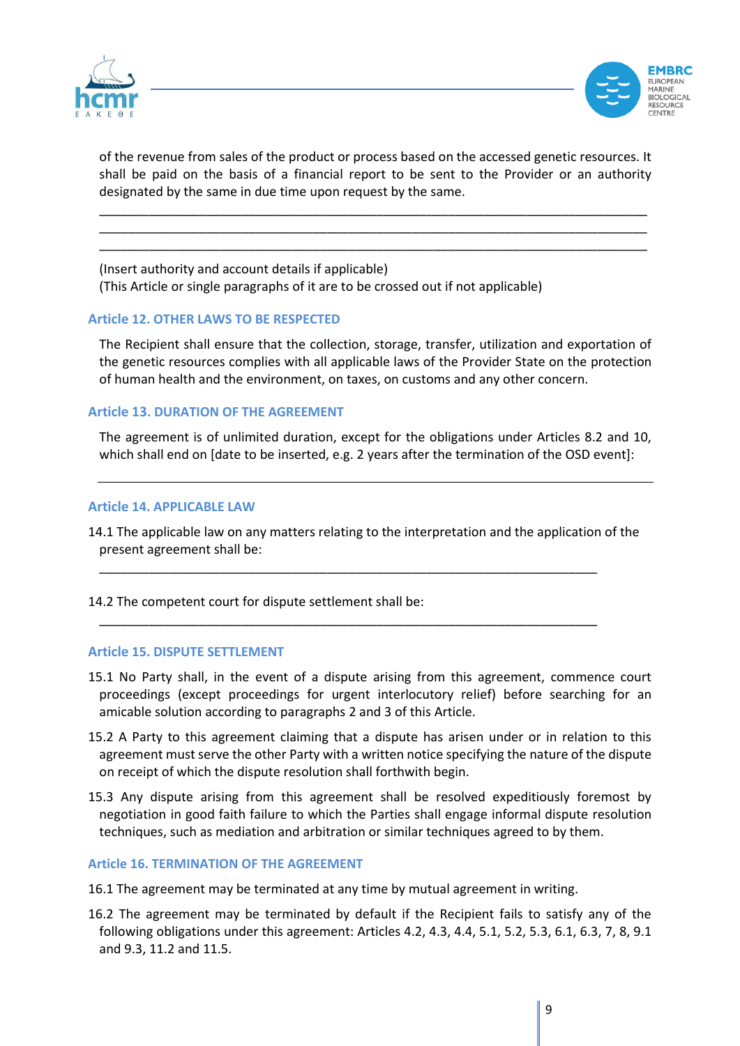



of the revenue from sales of the product or process based on the accessed genetic resources. It shall be paid on the basis of a financial report to be sent to the Provider or an authority designated by the same in due time upon request by the same.

\_\_\_\_\_\_\_\_\_\_\_\_\_\_\_\_\_\_\_\_\_\_\_\_\_\_\_\_\_\_\_\_\_\_\_\_\_\_\_\_\_\_\_\_\_\_\_\_\_\_\_\_\_\_\_\_\_\_\_\_\_\_\_\_\_\_\_\_\_\_\_\_\_\_\_\_\_ \_\_\_\_\_\_\_\_\_\_\_\_\_\_\_\_\_\_\_\_\_\_\_\_\_\_\_\_\_\_\_\_\_\_\_\_\_\_\_\_\_\_\_\_\_\_\_\_\_\_\_\_\_\_\_\_\_\_\_\_\_\_\_\_\_\_\_\_\_\_\_\_\_\_\_\_\_ \_\_\_\_\_\_\_\_\_\_\_\_\_\_\_\_\_\_\_\_\_\_\_\_\_\_\_\_\_\_\_\_\_\_\_\_\_\_\_\_\_\_\_\_\_\_\_\_\_\_\_\_\_\_\_\_\_\_\_\_\_\_\_\_\_\_\_\_\_\_\_\_\_\_\_\_\_

(Insert authority and account details if applicable) (This Article or single paragraphs of it are to be crossed out if not applicable)

## **Article 12. OTHER LAWS TO BE RESPECTED**

The Recipient shall ensure that the collection, storage, transfer, utilization and exportation of the genetic resources complies with all applicable laws of the Provider State on the protection of human health and the environment, on taxes, on customs and any other concern.

## **Article 13. DURATION OF THE AGREEMENT**

The agreement is of unlimited duration, except for the obligations under Articles 8.2 and 10, which shall end on [date to be inserted, e.g. 2 years after the termination of the OSD event]:

#### **Article 14. APPLICABLE LAW**

14.1 The applicable law on any matters relating to the interpretation and the application of the present agreement shall be:

\_\_\_\_\_\_\_\_\_\_\_\_\_\_\_\_\_\_\_\_\_\_\_\_\_\_\_\_\_\_\_\_\_\_\_\_\_\_\_\_\_\_\_\_\_\_\_\_\_\_\_\_\_\_\_\_\_\_\_\_\_\_\_\_\_\_\_\_\_\_

\_\_\_\_\_\_\_\_\_\_\_\_\_\_\_\_\_\_\_\_\_\_\_\_\_\_\_\_\_\_\_\_\_\_\_\_\_\_\_\_\_\_\_\_\_\_\_\_\_\_\_\_\_\_\_\_\_\_\_\_\_\_\_\_\_\_\_\_\_\_

14.2 The competent court for dispute settlement shall be:

#### **Article 15. DISPUTE SETTLEMENT**

- 15.1 No Party shall, in the event of a dispute arising from this agreement, commence court proceedings (except proceedings for urgent interlocutory relief) before searching for an amicable solution according to paragraphs 2 and 3 of this Article.
- 15.2 A Party to this agreement claiming that a dispute has arisen under or in relation to this agreement must serve the other Party with a written notice specifying the nature of the dispute on receipt of which the dispute resolution shall forthwith begin.
- 15.3 Any dispute arising from this agreement shall be resolved expeditiously foremost by negotiation in good faith failure to which the Parties shall engage informal dispute resolution techniques, such as mediation and arbitration or similar techniques agreed to by them.

#### **Article 16. TERMINATION OF THE AGREEMENT**

- 16.1 The agreement may be terminated at any time by mutual agreement in writing.
- 16.2 The agreement may be terminated by default if the Recipient fails to satisfy any of the following obligations under this agreement: Articles 4.2, 4.3, 4.4, 5.1, 5.2, 5.3, 6.1, 6.3, 7, 8, 9.1 and 9.3, 11.2 and 11.5.